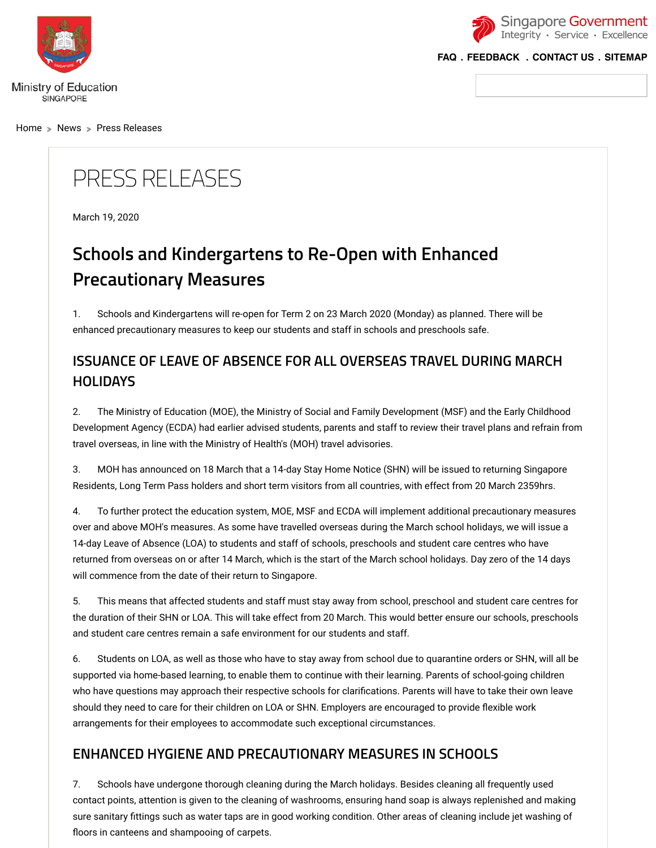<span id="page-0-0"></span>

[Home](https://www.moe.gov.sg/home)  $\geq$  [News](https://www.moe.gov.sg/news)  $\geq$  [Press Releases](https://www.moe.gov.sg/news/press-releases)



**[FAQ](https://va.ecitizen.gov.sg/cfp/customerPages/moe/explorefaq.aspx?utm_source=moe-corp-site&utm_medium=referral) . [FEEDBACK](https://www.moe.gov.sg/feedback) . [CONTACT US](https://www.moe.gov.sg/contact-us) . [SITEMAP](https://www.moe.gov.sg/sitemap)**

## PRESS RELEASES

March 19, 2020

## **Schools and Kindergartens to Re-Open with Enhanced Precautionary Measures**

1. Schools and Kindergartens will re-open for Term 2 on 23 March 2020 (Monday) as planned. There will be enhanced precautionary measures to keep our students and staff in schools and preschools safe.

## **ISSUANCE OF LEAVE OF ABSENCE FOR ALL OVERSEAS TRAVEL DURING MARCH HOLIDAYS**

2. The Ministry of Education (MOE), the Ministry of Social and Family Development (MSF) and the Early Childhood Development Agency (ECDA) had earlier advised students, parents and staff to review their travel plans and refrain from travel overseas, in line with the Ministry of Health's (MOH) travel advisories.

3. MOH has announced on 18 March that a 14-day Stay Home Notice (SHN) will be issued to returning Singapore Residents, Long Term Pass holders and short term visitors from all countries, with effect from 20 March 2359hrs.

4. To further protect the education system, MOE, MSF and ECDA will implement additional precautionary measures over and above MOH's measures. As some have travelled overseas during the March school holidays, we will issue a 14-day Leave of Absence (LOA) to students and staff of schools, preschools and student care centres who have returned from overseas on or after 14 March, which is the start of the March school holidays. Day zero of the 14 days will commence from the date of their return to Singapore.

5. This means that affected students and staff must stay away from school, preschool and student care centres for the duration of their SHN or LOA. This will take effect from 20 March. This would better ensure our schools, preschools and student care centres remain a safe environment for our students and staff.

6. Students on LOA, as well as those who have to stay away from school due to quarantine orders or SHN, will all be supported via home-based learning, to enable them to continue with their learning. Parents of school-going children who have questions may approach their respective schools for clarifications. Parents will have to take their own leave should they need to care for their children on LOA or SHN. Employers are encouraged to provide flexible work arrangements for their employees to accommodate such exceptional circumstances.

## **ENHANCED HYGIENE AND PRECAUTIONARY MEASURES IN SCHOOLS**

7. Schools have undergone thorough cleaning during the March holidays. Besides cleaning all frequently used contact points, attention is given to the cleaning of washrooms, ensuring hand soap is always replenished and making sure sanitary fittings such as water taps are in good working condition. Other areas of cleaning include jet washing of floors in canteens and shampooing of carpets.